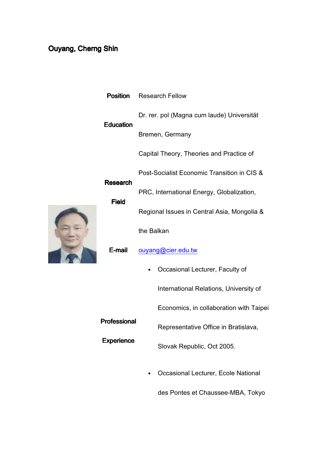## Ouyang, Cherng Shin

|  | <b>Position</b>                 | <b>Research Fellow</b>                      |
|--|---------------------------------|---------------------------------------------|
|  | <b>Education</b>                | Dr. rer. pol (Magna cum laude) Universität  |
|  |                                 | Bremen, Germany                             |
|  |                                 | Capital Theory, Theories and Practice of    |
|  | <b>Research</b><br><b>Field</b> | Post-Socialist Economic Transition in CIS & |
|  |                                 | PRC, International Energy, Globalization,   |
|  |                                 | Regional Issues in Central Asia, Mongolia & |
|  | E-mail                          | the Balkan                                  |
|  |                                 | ouyang@cier.edu.tw                          |
|  |                                 | Occasional Lecturer, Faculty of             |
|  |                                 | International Relations, University of      |
|  |                                 | Economics, in collaboration with Taipei     |
|  | Professional                    | Representative Office in Bratislava,        |
|  | <b>Experience</b>               | Slovak Republic, Oct 2005.                  |

• Occasional Lecturer, Ecole National

des Pontes et Chaussee-MBA, Tokyo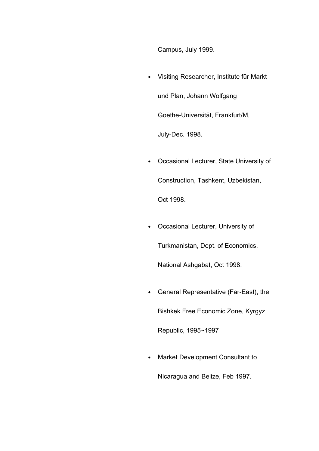Campus, July 1999.

- Visiting Researcher, Institute für Markt und Plan, Johann Wolfgang Goethe-Universität, Frankfurt/M, July-Dec. 1998.
- Occasional Lecturer, State University of Construction, Tashkent, Uzbekistan, Oct 1998.
- Occasional Lecturer, University of Turkmanistan, Dept. of Economics, National Ashgabat, Oct 1998.
- General Representative (Far-East), the

Bishkek Free Economic Zone, Kyrgyz

Republic, 1995~1997

• Market Development Consultant to

Nicaragua and Belize, Feb 1997.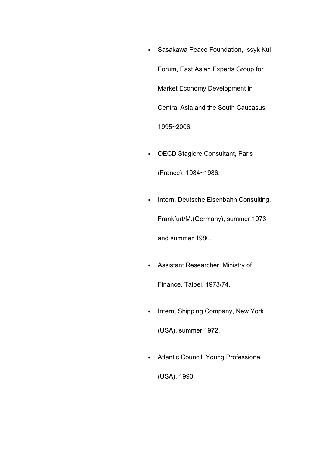- Sasakawa Peace Foundation, Issyk Kul Forum, East Asian Experts Group for Market Economy Development in Central Asia and the South Caucasus, 1995~2006.
- OECD Stagiere Consultant, Paris

(France), 1984~1986.

• Intern, Deutsche Eisenbahn Consulting,

Frankfurt/M.(Germany), summer 1973

and summer 1980.

- Assistant Researcher, Ministry of Finance, Taipei, 1973/74.
- Intern, Shipping Company, New York (USA), summer 1972.
- Atlantic Council, Young Professional (USA), 1990.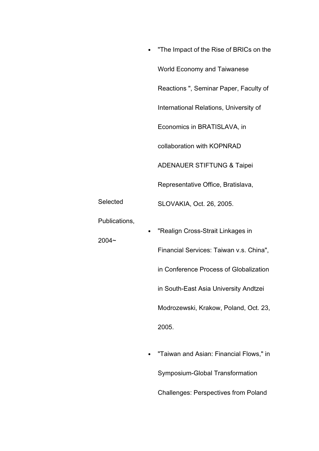|                           | "The Impact of the Rise of BRICs on the                                                                                                                                                                           |
|---------------------------|-------------------------------------------------------------------------------------------------------------------------------------------------------------------------------------------------------------------|
|                           | <b>World Economy and Taiwanese</b>                                                                                                                                                                                |
|                           | Reactions ", Seminar Paper, Faculty of                                                                                                                                                                            |
|                           | International Relations, University of                                                                                                                                                                            |
|                           | Economics in BRATISLAVA, in                                                                                                                                                                                       |
|                           | collaboration with KOPNRAD                                                                                                                                                                                        |
|                           | <b>ADENAUER STIFTUNG &amp; Taipei</b>                                                                                                                                                                             |
|                           | Representative Office, Bratislava,                                                                                                                                                                                |
| Selected                  | SLOVAKIA, Oct. 26, 2005.                                                                                                                                                                                          |
| Publications,<br>$2004 -$ | "Realign Cross-Strait Linkages in<br>Financial Services: Taiwan v.s. China",<br>in Conference Process of Globalization<br>in South-East Asia University Andtzei<br>Modrozewski, Krakow, Poland, Oct. 23,<br>2005. |
|                           |                                                                                                                                                                                                                   |

• "Taiwan and Asian: Financial Flows," in Symposium-Global Transformation Challenges: Perspectives from Poland